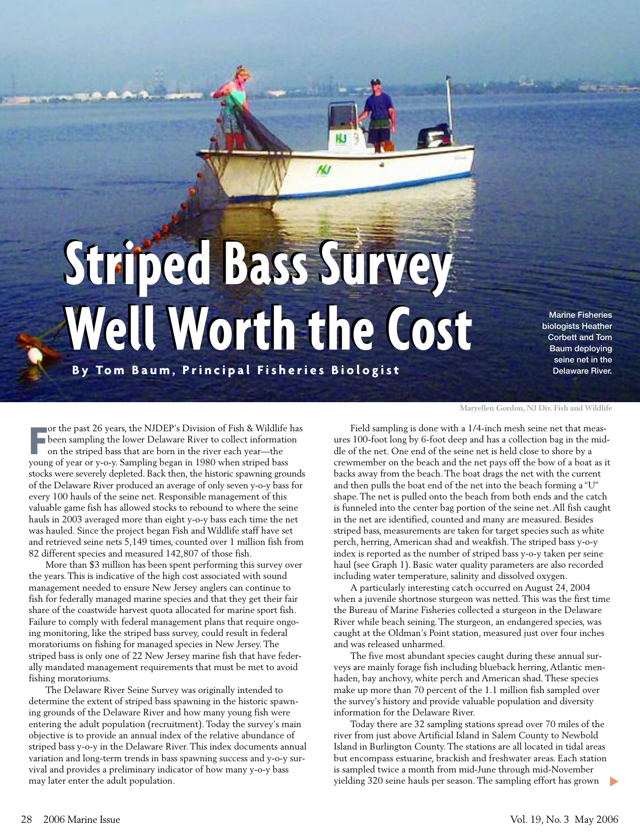## **Striped Bass Survey Striped Bass Survey Well Worth the Cost Well Worth the Cost By Tom Baum, Principal Fisheries Biologist**

**NJ** 

Marine Fisheries biologists Heather Corbett and Tom Baum deploying seine net in the Delaware River.

**F** or the past 26 years, the NJDEP's Division of Fish & Wildlife has been sampling the lower Delaware River to collect information on the striped bass that are born in the river each year—the young of year or y-o-y. Sampling began in 1980 when striped bass stocks were severely depleted. Back then, the historic spawning grounds of the Delaware River produced an average of only seven y-o-y bass for every 100 hauls of the seine net. Responsible management of this valuable game fish has allowed stocks to rebound to where the seine hauls in 2003 averaged more than eight y-o-y bass each time the net was hauled. Since the project began Fish and Wildlife staff have set and retrieved seine nets 5,149 times, counted over 1 million fish from 82 different species and measured 142,807 of those fish.

More than \$3 million has been spent performing this survey over the years. This is indicative of the high cost associated with sound management needed to ensure New Jersey anglers can continue to fish for federally managed marine species and that they get their fair share of the coastwide harvest quota allocated for marine sport fish. Failure to comply with federal management plans that require ongoing monitoring, like the striped bass survey, could result in federal moratoriums on fishing for managed species in New Jersey. The striped bass is only one of 22 New Jersey marine fish that have federally mandated management requirements that must be met to avoid fishing moratoriums.

The Delaware River Seine Survey was originally intended to determine the extent of striped bass spawning in the historic spawning grounds of the Delaware River and how many young fish were entering the adult population (recruitment).Today the survey's main objective is to provide an annual index of the relative abundance of striped bass y-o-y in the Delaware River. This index documents annual variation and long-term trends in bass spawning success and y-o-y survival and provides a preliminary indicator of how many y-o-y bass may later enter the adult population.

## **Maryellen Gordon, NJ Div. Fish and Wildlife**

Field sampling is done with a 1/4-inch mesh seine net that measures 100-foot long by 6-foot deep and has a collection bag in the middle of the net. One end of the seine net is held close to shore by a crewmember on the beach and the net pays off the bow of a boat as it backs away from the beach. The boat drags the net with the current and then pulls the boat end of the net into the beach forming a "U" shape.The net is pulled onto the beach from both ends and the catch is funneled into the center bag portion of the seine net. All fish caught in the net are identified, counted and many are measured. Besides striped bass, measurements are taken for target species such as white perch, herring, American shad and weakfish. The striped bass y-o-y index is reported as the number of striped bass y-o-y taken per seine haul (see Graph 1). Basic water quality parameters are also recorded including water temperature, salinity and dissolved oxygen.

A particularly interesting catch occurred on August 24, 2004 when a juvenile shortnose sturgeon was netted. This was the first time the Bureau of Marine Fisheries collected a sturgeon in the Delaware River while beach seining.The sturgeon, an endangered species, was caught at the Oldman's Point station, measured just over four inches and was released unharmed.

The five most abundant species caught during these annual surveys are mainly forage fish including blueback herring, Atlantic menhaden, bay anchovy, white perch and American shad. These species make up more than 70 percent of the 1.1 million fish sampled over the survey's history and provide valuable population and diversity information for the Delaware River.

Today there are 32 sampling stations spread over 70 miles of the river from just above Artificial Island in Salem County to Newbold Island in Burlington County. The stations are all located in tidal areas but encompass estuarine, brackish and freshwater areas. Each station is sampled twice a month from mid-June through mid-November yielding 320 seine hauls per season. The sampling effort has grown **▼**